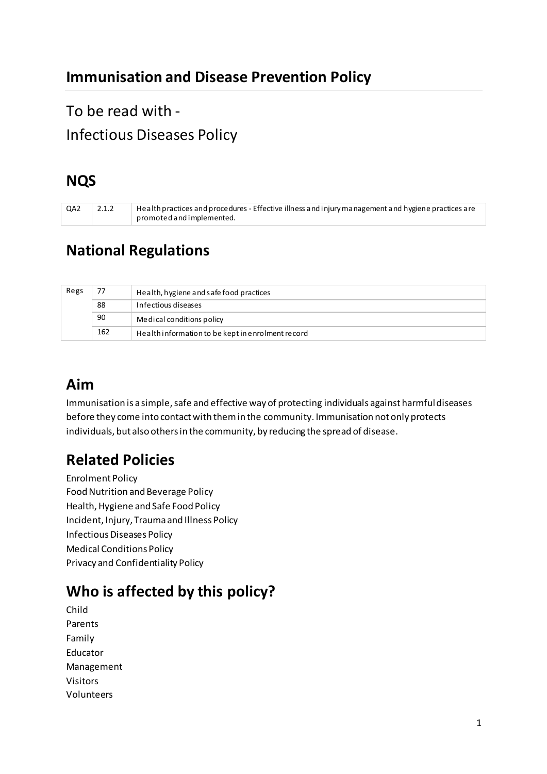# To be read with - Infectious Diseases Policy

# **NQS**

| QA2 | $\mu$ Health practices and procedures - Effective illness and injury management and hygiene practices are |
|-----|-----------------------------------------------------------------------------------------------------------|
|     | promoted and implemented.                                                                                 |

# **National Regulations**

| Regs | 77  | Health, hygiene and safe food practices           |
|------|-----|---------------------------------------------------|
|      | 88  | Infectious diseases                               |
|      | 90  | Medical conditions policy                         |
|      | 162 | Health information to be kept in enrolment record |

## **Aim**

Immunisation is a simple, safe and effective way of protecting individuals against harmful diseases before they come into contact with them in the community. Immunisation not only protects individuals, but also others in the community, by reducing the spread of disease.

# **Related Policies**

Enrolment Policy Food Nutrition and Beverage Policy Health, Hygiene and Safe Food Policy Incident, Injury, Trauma and Illness Policy Infectious Diseases Policy Medical Conditions Policy Privacy and Confidentiality Policy

# **Who is affected by this policy?**

Child Parents Family Educator Management Visitors Volunteers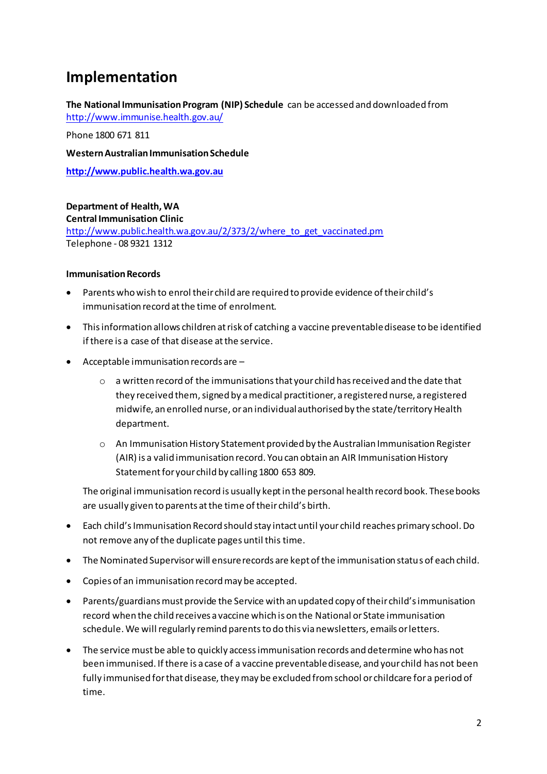## **Implementation**

**The National Immunisation Program (NIP) Schedule** can be accessed and downloaded from <http://www.immunise.health.gov.au/>

Phone 1800 671 811

**Western Australian Immunisation Schedule** 

**[http://www.public.health.wa.gov.au](http://www.public.health.wa.gov.au/)**

**Department of Health, WA Central Immunisation Clinic**  [http://www.public.health.wa.gov.au/2/373/2/where\\_to\\_get\\_vaccinated.pm](http://www.public.health.wa.gov.au/2/373/2/where_to_get_vaccinated.pm) Telephone - 08 9321 1312

#### **Immunisation Records**

- Parents who wish to enrol their child are required to provide evidence of their child's immunisation record at the time of enrolment.
- This information allows children at risk of catching a vaccine preventable disease to be identified if there is a case of that disease at the service.
- Acceptable immunisation records are
	- o a written record of the immunisations that your child has received and the date that they received them, signed by a medical practitioner, a registered nurse, a registered midwife, an enrolled nurse, or an individual authorised by the state/territory Health department.
	- o An Immunisation History Statement provided by the Australian Immunisation Register (AIR) is a valid immunisation record. You can obtain an AIR Immunisation History Statement for your child by calling 1800 653 809.

The original immunisation record is usually kept in the personal health record book. These books are usually given to parents at the time of their child's birth.

- Each child's Immunisation Record should stay intact until your child reaches primary school. Do not remove any of the duplicate pages until this time.
- The Nominated Supervisor will ensure records are kept of the immunisation status of each child.
- Copies of an immunisation record may be accepted.
- Parents/guardians must provide the Service with an updated copy of their child's immunisation record when the child receives a vaccine which is on the National or State immunisation schedule. We will regularly remind parents to do this via newsletters, emails or letters.
- The service must be able to quickly access immunisation records and determine who has not been immunised. If there is a case of a vaccine preventable disease, and your child has not been fully immunised for that disease, they may be excluded from school or childcare for a period of time.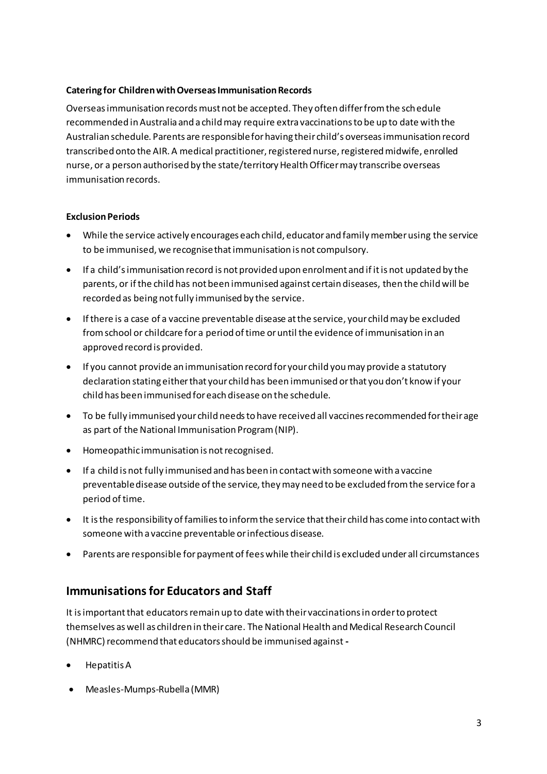#### **Catering for Children with Overseas Immunisation Records**

Overseas immunisation records must not be accepted. They often differ from the schedule recommended in Australia and a child may require extra vaccinations to be up to date with the Australian schedule. Parents are responsible for having their child's overseas immunisation record transcribed onto the AIR. A medical practitioner, registered nurse, registered midwife, enrolled nurse, or a person authorised by the state/territory Health Officer may transcribe overseas immunisation records.

#### **Exclusion Periods**

- While the service actively encourages each child, educator and family member using the service to be immunised, we recognise that immunisation is not compulsory.
- $\bullet$  If a child's immunisation record is not provided upon enrolment and if it is not updated by the parents, or if the child has not been immunised against certain diseases, then the child will be recorded as being not fully immunised by the service.
- If there is a case of a vaccine preventable disease at the service, your child may be excluded from school or childcare for a period of time or until the evidence of immunisation in an approved record is provided.
- If you cannot provide an immunisation record for your child you may provide a statutory declaration stating either that your child has been immunised or that you don't know if your child has been immunised for each disease on the schedule.
- To be fully immunised your child needs to have received all vaccines recommended for their age as part of the National Immunisation Program (NIP).
- Homeopathic immunisation is not recognised.
- If a child is not fully immunised and has been in contact with someone with a vaccine preventable disease outside of the service, they may need to be excluded from the service for a period of time.
- It is the responsibility of families to inform the service that their child has come into contact with someone with a vaccine preventable or infectious disease.
- Parents are responsible for payment of fees while their child is excluded under all circumstances

### **Immunisations for Educators and Staff**

It is important that educators remain up to date with their vaccinations in order to protect themselves as well as children in their care. The National Health and Medical Research Council (NHMRC) recommend that educators should be immunised against **-**

- Hepatitis A
- Measles-Mumps-Rubella (MMR)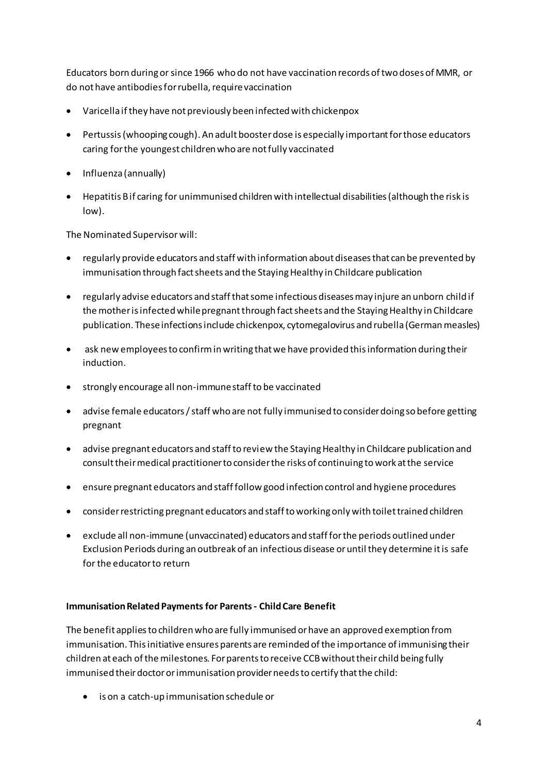Educators born during or since 1966 who do not have vaccination records of two doses of MMR, or do not have antibodies for rubella, require vaccination

- Varicella if they have not previously been infected with chickenpox
- Pertussis (whooping cough). An adult booster dose is especially important for those educators caring for the youngest children who are not fully vaccinated
- Influenza (annually)
- Hepatitis B if caring for unimmunised children with intellectual disabilities (although the risk is low).

The Nominated Supervisor will:

- regularly provide educators and staff with information about diseases that can be prevented by immunisation through fact sheets and the Staying Healthy in Childcare publication
- regularly advise educators and staff that some infectious diseases may injure an unborn child if the mother is infected while pregnant through fact sheets and the Staying Healthy in Childcare publication. These infections include chickenpox, cytomegalovirus and rubella (German measles)
- ask new employees to confirm in writing that we have provided this information during their induction.
- strongly encourage all non-immune staff to be vaccinated
- advise female educators / staff who are not fully immunised to consider doing so before getting pregnant
- advise pregnant educators and staff to review the Staying Healthy in Childcare publication and consult their medical practitioner to consider the risks of continuing to work at the service
- ensure pregnant educators and staff follow good infection control and hygiene procedures
- consider restricting pregnant educators and staff to working only with toilet trained children
- exclude all non-immune (unvaccinated) educators and staff for the periods outlined under Exclusion Periods during an outbreak of an infectious disease or until they determine it is safe for the educator to return

#### **Immunisation Related Payments for Parents - Child Care Benefit**

The benefit applies to children who are fully immunised or have an approved exemption from immunisation. This initiative ensures parents are reminded of the importance of immunising their children at each of the milestones. For parents to receive CCB without their child being fully immunised their doctor or immunisation provider needs to certify that the child:

• is on a catch-up immunisation schedule or